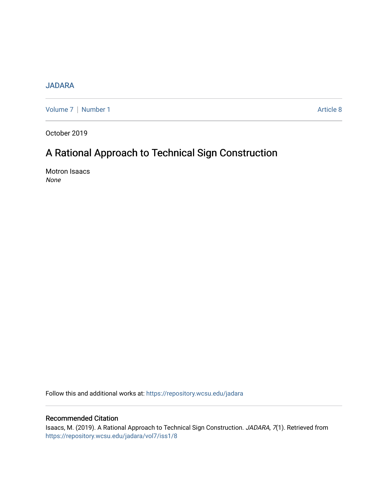## [JADARA](https://repository.wcsu.edu/jadara)

[Volume 7](https://repository.wcsu.edu/jadara/vol7) | [Number 1](https://repository.wcsu.edu/jadara/vol7/iss1) Article 8

October 2019

# A Rational Approach to Technical Sign Construction

Motron Isaacs None

Follow this and additional works at: [https://repository.wcsu.edu/jadara](https://repository.wcsu.edu/jadara?utm_source=repository.wcsu.edu%2Fjadara%2Fvol7%2Fiss1%2F8&utm_medium=PDF&utm_campaign=PDFCoverPages)

### Recommended Citation

Isaacs, M. (2019). A Rational Approach to Technical Sign Construction. JADARA, 7(1). Retrieved from [https://repository.wcsu.edu/jadara/vol7/iss1/8](https://repository.wcsu.edu/jadara/vol7/iss1/8?utm_source=repository.wcsu.edu%2Fjadara%2Fvol7%2Fiss1%2F8&utm_medium=PDF&utm_campaign=PDFCoverPages)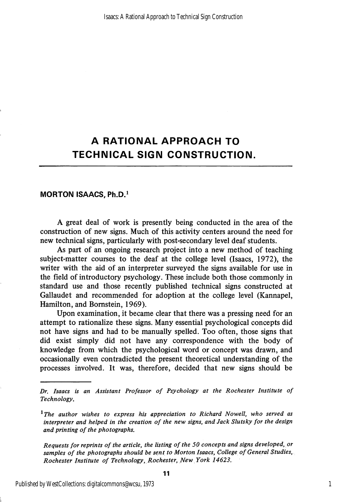## A RATIONAL APPROACH TO TECHNICAL SIGN CONSTRUCTION.

#### MORTON ISAACS, Ph.D.'

A great deal of work is presently being conducted in the area of the construction of new signs. Much of this activity centers around the need for new technical signs, particularly with post-secondary level deaf students.

As part of an ongoing research project into a new method of teaching subject-matter courses to the deaf at the college level (Isaacs, 1972), the writer with the aid of an interpreter surveyed the signs available for use in the field of introductory psychology. These include both those commonly in standard use and those recently published technical signs constructed at Gallaudet and recommended for adoption at the college level (Kannapel, Hamilton, and Bomstein, 1969).

Upon examination, it became clear that there was a pressing need for an attempt to rationalize these signs. Many essential psychological concepts did not have signs and had to be manually spelled. Too often, those signs that did exist simply did not have any correspondence with the body of knowledge from which the psychological word or concept was drawn, and occasionally even contradicted the present theoretical understanding of the processes involved. It was, therefore, decided that new signs should be

Requests for reprints of the article, the listing of the 50 concepts and signs developed, or samples of the photographs should be sent to Morton Isaacs, College of General Studies, Rochester Institute of Technology, Rochester, New York 14623.

Dr. Isaacs is an Assistant Professor of Psychology at the Rochester Institute of Technology.

 $^1$ The author wishes to express his appreciation to Richard Nowell, who served as interpreter and helped in the creation of the new signs, and Jack Slutsky for the design and printing of the photographs.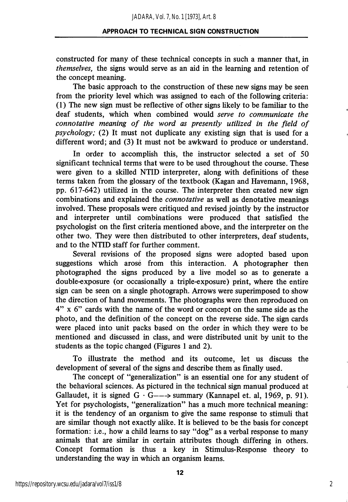#### APPROACH TO TECHNICAL SIGN CONSTRUCTION

constructed for many of these technical concepts in such a manner that, in themselves, the signs would serve as an aid in the learning and retention of the concept meaning.

The basic approach to the construction of these new signs may be seen from the priority level which was assigned to each of the following criteria: (1) The new sign must be reflective of other signs likely to be familiar to the deaf students, which when combined would serve to communicate the connotative meaning of the word as presently utilized in the field of psychology; (2) It must not duplicate any existing sign that is used for a different word; and (3) It must not be awkward to produce or understand.

In order to accomplish this, the instructor selected a set of 50 significant technical terms that were to be used throughout the course. These were given to a skilled NTID interpreter, along with definitions of these terms taken from the glossary of the textbook (Kagan and Havemann, 1968, pp. 617-642) utilized in the course. The interpreter then created new sign combinations and explained the connotative as well as denotative meanings involved. These proposals were critiqued and revised jointly by the instructor and interpreter until combinations were produced that satisfied the psychologist on the first criteria mentioned above, and the interpreter on the other two. They were then distributed to other interpreters, deaf students, and to the NTID staff for further comment.

Several revisions of the proposed signs were adopted based upon suggestions which arose from this interaction. A photographer then photographed the signs produced by a live model so as to generate a double-exposure (or occasionally a triple-exposure) print, where the entire sign can be seen on a single photograph. Arrows were superimposed to show the direction of hand movements. The photographs were then reproduced on 4" X 6" cards with the name of the word or concept on the same side as the photo, and the definition of the concept on the reverse side. The sign cards were placed into unit packs based on the order in which they were to be mentioned and discussed in class, and were distributed unit by unit to the students as the topic changed (Figures 1 and 2).

To illustrate the method and its outcome, let us discuss the development of several of the signs and describe them as finally used.

The concept of "generalization" is an essential one for any student of the behavioral sciences. As pictured in the technical sign manual produced at Gallaudet, it is signed  $G \cdot G \rightarrow \text{summary}$  (Kannapel et. al, 1969, p. 91). Yet for psychologists, "generalization" has a much more technical meaning: it is the tendency of an organism to give the same response to stimuli that are similar though not exactly alike. It is believed to be the basis for concept formation: i.e., how a child leams to say "dog" as a verbal response to many animals that are similar in certain attributes though differing in others. Concept formation is thus a key in Stimulus-Response theory to understanding the way in which an organism leams.

2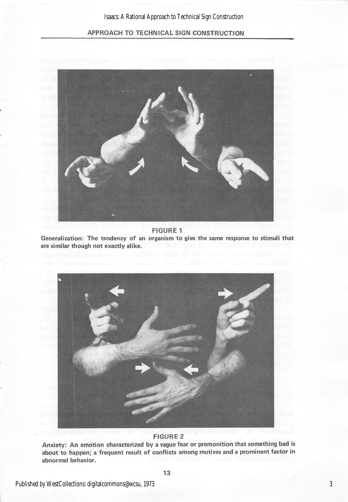

FIGURE 1

Generalization: The tendency of an organism to give the same response to stimuli that are similar though not exactly alike.



#### FIGURE 2

Anxiety: An emotion characterized by a vague fear or premonition that something bad is about to happen; a frequent result of conflicts among motives and a prominent factor in abnormal behavior.